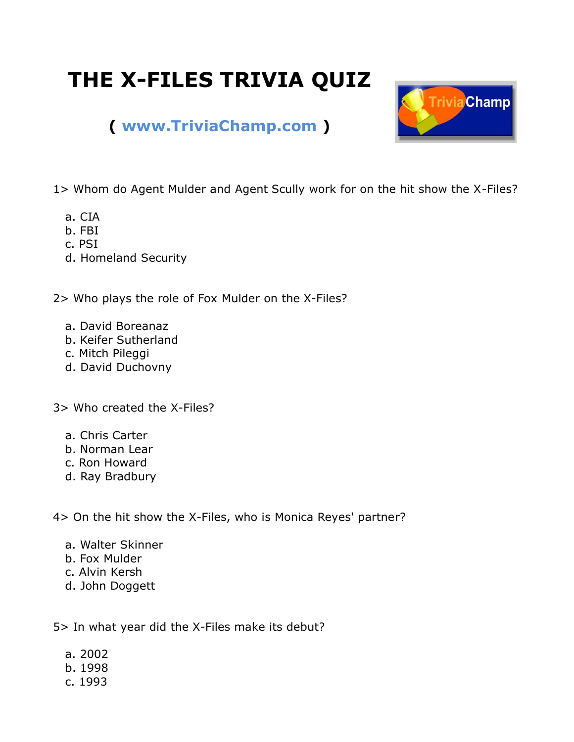## **THE X-FILES TRIVIA QUIZ**



## **( [www.TriviaChamp.com](http://www.triviachamp.com/) )**

1> Whom do Agent Mulder and Agent Scully work for on the hit show the X-Files?

- a. CIA
- b. FBI
- c. PSI
- d. Homeland Security

2> Who plays the role of Fox Mulder on the X-Files?

- a. David Boreanaz
- b. Keifer Sutherland
- c. Mitch Pileggi
- d. David Duchovny

3> Who created the X-Files?

- a. Chris Carter
- b. Norman Lear
- c. Ron Howard
- d. Ray Bradbury

4> On the hit show the X-Files, who is Monica Reyes' partner?

- a. Walter Skinner
- b. Fox Mulder
- c. Alvin Kersh
- d. John Doggett

5> In what year did the X-Files make its debut?

- a. 2002
- b. 1998
- c. 1993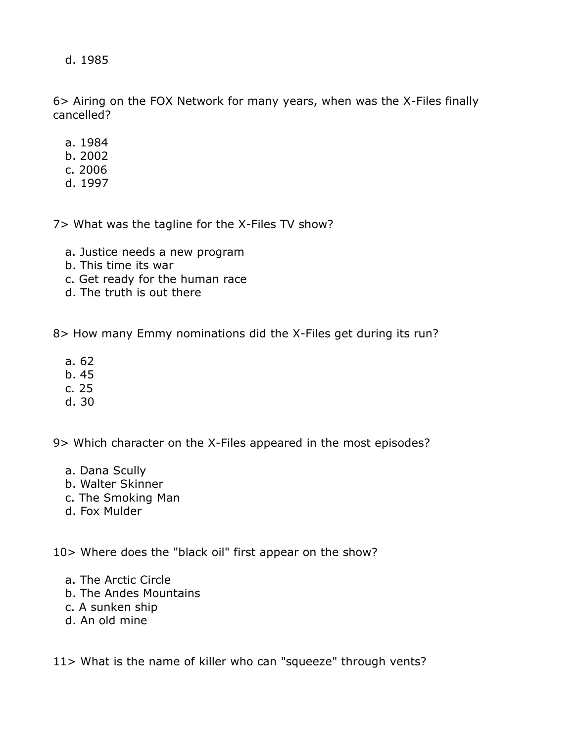d. 1985

6> Airing on the FOX Network for many years, when was the X-Files finally cancelled?

- a. 1984
- b. 2002
- c. 2006
- d. 1997

7> What was the tagline for the X-Files TV show?

- a. Justice needs a new program
- b. This time its war
- c. Get ready for the human race
- d. The truth is out there

8> How many Emmy nominations did the X-Files get during its run?

- a. 62
- b. 45
- c. 25
- d. 30

9> Which character on the X-Files appeared in the most episodes?

- a. Dana Scully
- b. Walter Skinner
- c. The Smoking Man
- d. Fox Mulder

10> Where does the "black oil" first appear on the show?

- a. The Arctic Circle
- b. The Andes Mountains
- c. A sunken ship
- d. An old mine

11> What is the name of killer who can "squeeze" through vents?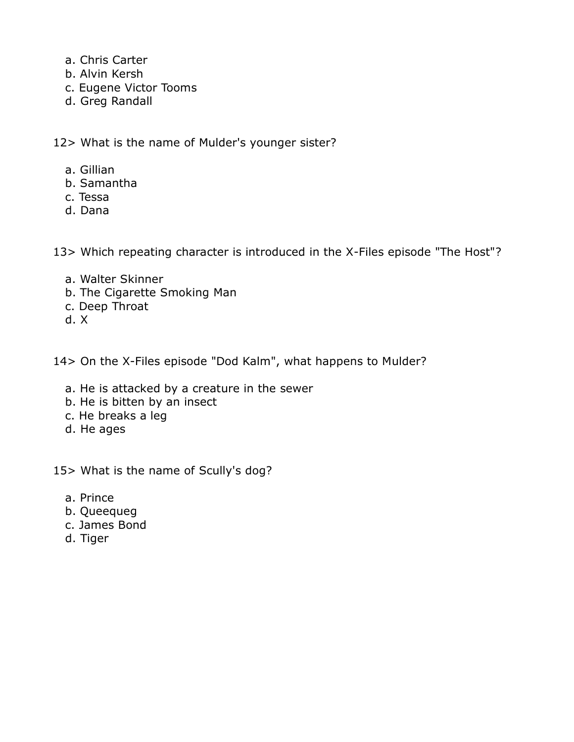- a. Chris Carter
- b. Alvin Kersh
- c. Eugene Victor Tooms
- d. Greg Randall

12> What is the name of Mulder's younger sister?

- a. Gillian
- b. Samantha
- c. Tessa
- d. Dana

13> Which repeating character is introduced in the X-Files episode "The Host"?

- a. Walter Skinner
- b. The Cigarette Smoking Man
- c. Deep Throat
- d. X

14> On the X-Files episode "Dod Kalm", what happens to Mulder?

- a. He is attacked by a creature in the sewer
- b. He is bitten by an insect
- c. He breaks a leg
- d. He ages

15> What is the name of Scully's dog?

- a. Prince
- b. Queequeg
- c. James Bond
- d. Tiger